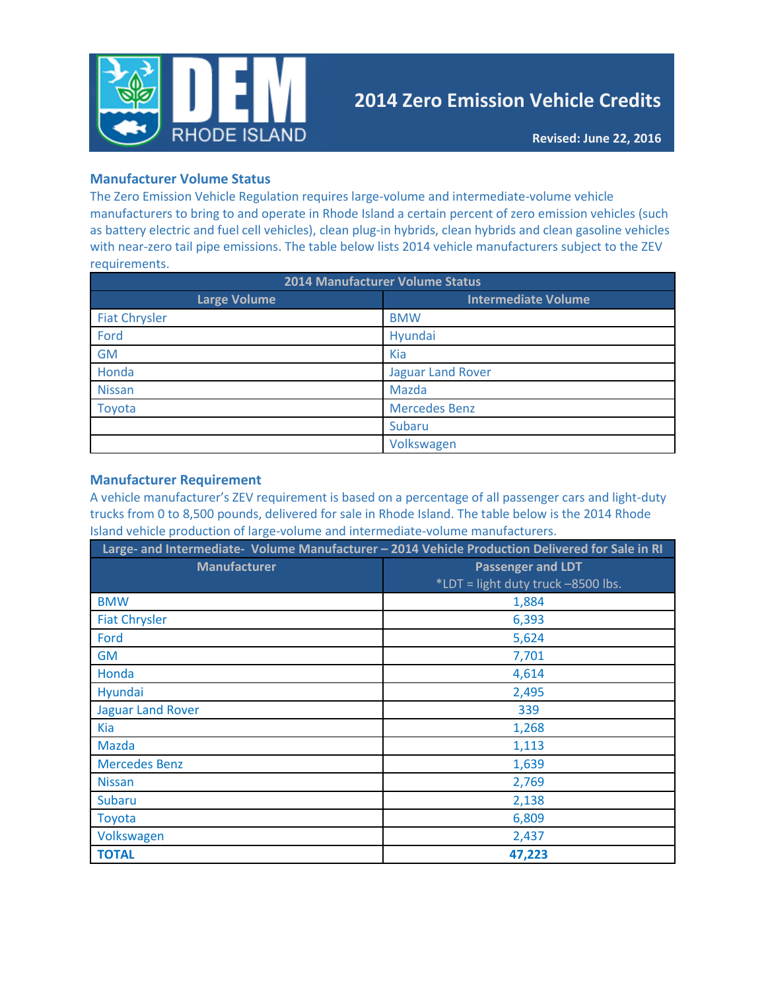

# **2014 Zero Emission Vehicle Credits**

## **Manufacturer Volume Status**

The Zero Emission Vehicle Regulation requires large-volume and intermediate-volume vehicle manufacturers to bring to and operate in Rhode Island a certain percent of zero emission vehicles (such as battery electric and fuel cell vehicles), clean plug-in hybrids, clean hybrids and clean gasoline vehicles with near-zero tail pipe emissions. The table below lists 2014 vehicle manufacturers subject to the ZEV requirements.

| <b>2014 Manufacturer Volume Status</b> |                            |  |  |  |
|----------------------------------------|----------------------------|--|--|--|
| <b>Large Volume</b>                    | <b>Intermediate Volume</b> |  |  |  |
| <b>Fiat Chrysler</b>                   | <b>BMW</b>                 |  |  |  |
| Ford                                   | Hyundai                    |  |  |  |
| <b>GM</b>                              | Kia                        |  |  |  |
| Honda                                  | <b>Jaguar Land Rover</b>   |  |  |  |
| <b>Nissan</b>                          | Mazda                      |  |  |  |
| Toyota                                 | <b>Mercedes Benz</b>       |  |  |  |
|                                        | Subaru                     |  |  |  |
|                                        | Volkswagen                 |  |  |  |

## **Manufacturer Requirement**

A vehicle manufacturer's ZEV requirement is based on a percentage of all passenger cars and light-duty trucks from 0 to 8,500 pounds, delivered for sale in Rhode Island. The table below is the 2014 Rhode Island vehicle production of large-volume and intermediate-volume manufacturers.

| Large- and Intermediate- Volume Manufacturer - 2014 Vehicle Production Delivered for Sale in RI |                                    |
|-------------------------------------------------------------------------------------------------|------------------------------------|
| <b>Manufacturer</b>                                                                             | <b>Passenger and LDT</b>           |
|                                                                                                 | *LDT = light duty truck -8500 lbs. |
| <b>BMW</b>                                                                                      | 1,884                              |
| <b>Fiat Chrysler</b>                                                                            | 6,393                              |
| Ford                                                                                            | 5,624                              |
| GM                                                                                              | 7,701                              |
| Honda                                                                                           | 4,614                              |
| Hyundai                                                                                         | 2,495                              |
| <b>Jaguar Land Rover</b>                                                                        | 339                                |
| <b>Kia</b>                                                                                      | 1,268                              |
| <b>Mazda</b>                                                                                    | 1,113                              |
| <b>Mercedes Benz</b>                                                                            | 1,639                              |
| <b>Nissan</b>                                                                                   | 2,769                              |
| <b>Subaru</b>                                                                                   | 2,138                              |
| Toyota                                                                                          | 6,809                              |
| Volkswagen                                                                                      | 2,437                              |
| <b>TOTAL</b>                                                                                    | 47,223                             |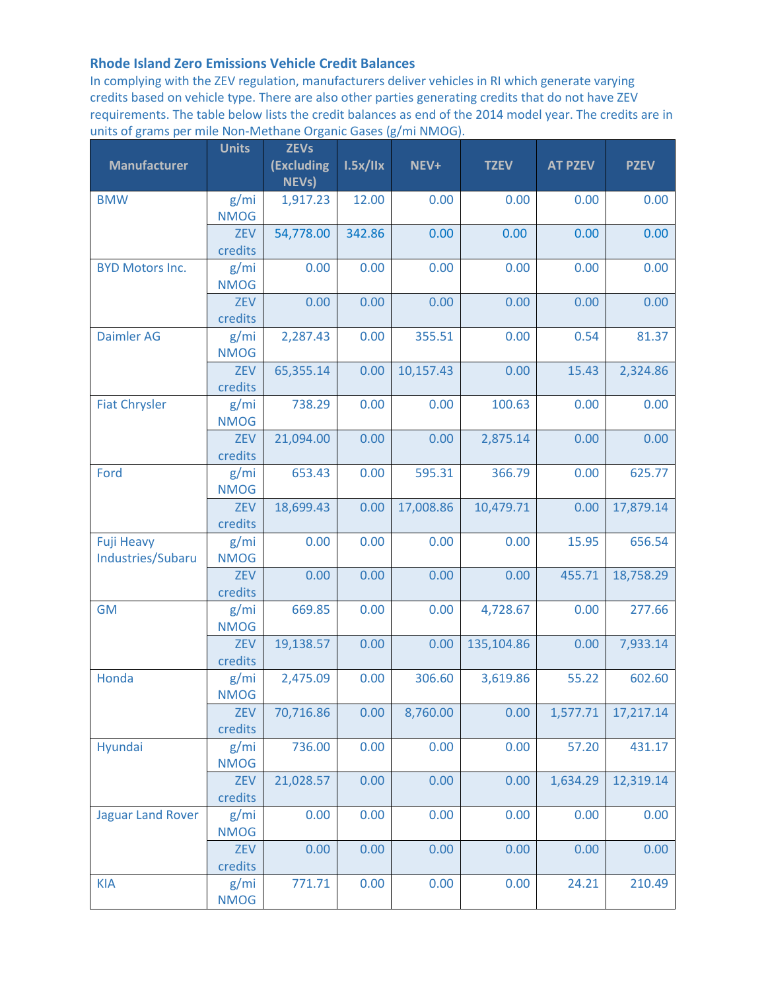## **Rhode Island Zero Emissions Vehicle Credit Balances**

In complying with the ZEV regulation, manufacturers deliver vehicles in RI which generate varying credits based on vehicle type. There are also other parties generating credits that do not have ZEV requirements. The table below lists the credit balances as end of the 2014 model year. The credits are in units of grams per mile Non-Methane Organic Gases (g/mi NMOG).

| <b>Manufacturer</b>                    | <b>Units</b>          | <b>ZEVs</b><br>(Excluding | 1.5x/IIx | NEV+      | <b>TZEV</b> | <b>AT PZEV</b> | <b>PZEV</b> |
|----------------------------------------|-----------------------|---------------------------|----------|-----------|-------------|----------------|-------------|
|                                        |                       | <b>NEVs)</b>              |          |           |             |                |             |
| <b>BMW</b>                             | g/mi<br><b>NMOG</b>   | 1,917.23                  | 12.00    | 0.00      | 0.00        | 0.00           | 0.00        |
|                                        | ZEV<br>credits        | 54,778.00                 | 342.86   | 0.00      | 0.00        | 0.00           | 0.00        |
| <b>BYD Motors Inc.</b>                 | g/mi<br><b>NMOG</b>   | 0.00                      | 0.00     | 0.00      | 0.00        | 0.00           | 0.00        |
|                                        | <b>ZEV</b><br>credits | 0.00                      | 0.00     | 0.00      | 0.00        | 0.00           | 0.00        |
| <b>Daimler AG</b>                      | g/mi<br><b>NMOG</b>   | 2,287.43                  | 0.00     | 355.51    | 0.00        | 0.54           | 81.37       |
|                                        | ZEV<br>credits        | 65,355.14                 | 0.00     | 10,157.43 | 0.00        | 15.43          | 2,324.86    |
| <b>Fiat Chrysler</b>                   | g/mi<br><b>NMOG</b>   | 738.29                    | 0.00     | 0.00      | 100.63      | 0.00           | 0.00        |
|                                        | <b>ZEV</b><br>credits | 21,094.00                 | 0.00     | 0.00      | 2,875.14    | 0.00           | 0.00        |
| Ford                                   | g/mi<br><b>NMOG</b>   | 653.43                    | 0.00     | 595.31    | 366.79      | 0.00           | 625.77      |
|                                        | ZEV<br>credits        | 18,699.43                 | 0.00     | 17,008.86 | 10,479.71   | 0.00           | 17,879.14   |
| <b>Fuji Heavy</b><br>Industries/Subaru | g/mi<br><b>NMOG</b>   | 0.00                      | 0.00     | 0.00      | 0.00        | 15.95          | 656.54      |
|                                        | <b>ZEV</b><br>credits | 0.00                      | 0.00     | 0.00      | 0.00        | 455.71         | 18,758.29   |
| <b>GM</b>                              | g/mi<br><b>NMOG</b>   | 669.85                    | 0.00     | 0.00      | 4,728.67    | 0.00           | 277.66      |
|                                        | <b>ZEV</b><br>credits | 19,138.57                 | 0.00     | 0.00      | 135,104.86  | 0.00           | 7,933.14    |
| Honda                                  | g/mi<br><b>NMOG</b>   | 2,475.09                  | 0.00     | 306.60    | 3,619.86    | 55.22          | 602.60      |
|                                        | ZEV<br>credits        | 70,716.86                 | 0.00     | 8,760.00  | 0.00        | 1,577.71       | 17,217.14   |
| Hyundai                                | g/mi<br><b>NMOG</b>   | 736.00                    | 0.00     | 0.00      | 0.00        | 57.20          | 431.17      |
|                                        | <b>ZEV</b><br>credits | 21,028.57                 | 0.00     | 0.00      | 0.00        | 1,634.29       | 12,319.14   |
| <b>Jaguar Land Rover</b>               | g/mi<br><b>NMOG</b>   | 0.00                      | 0.00     | 0.00      | 0.00        | 0.00           | 0.00        |
|                                        | ZEV<br>credits        | 0.00                      | 0.00     | 0.00      | 0.00        | 0.00           | 0.00        |
| <b>KIA</b>                             | g/mi<br><b>NMOG</b>   | 771.71                    | 0.00     | 0.00      | 0.00        | 24.21          | 210.49      |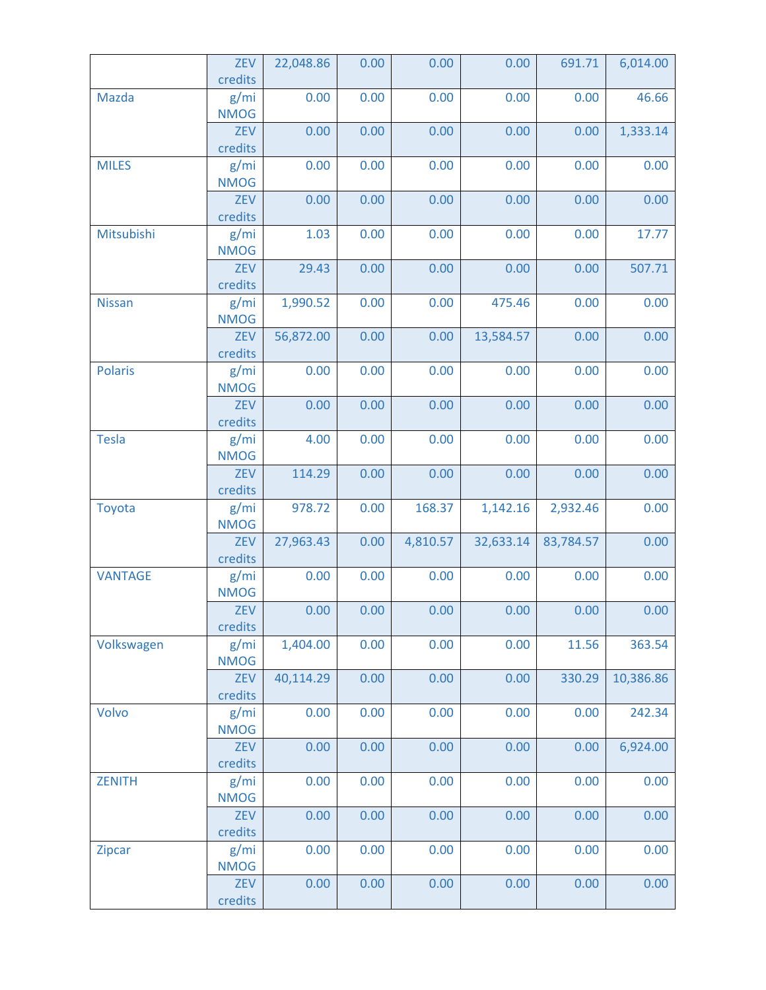|                | ZEV<br>credits        | 22,048.86 | 0.00 | 0.00     | 0.00      | 691.71    | 6,014.00  |
|----------------|-----------------------|-----------|------|----------|-----------|-----------|-----------|
| Mazda          | g/mi<br><b>NMOG</b>   | 0.00      | 0.00 | 0.00     | 0.00      | 0.00      | 46.66     |
|                | <b>ZEV</b><br>credits | 0.00      | 0.00 | 0.00     | 0.00      | 0.00      | 1,333.14  |
| <b>MILES</b>   | g/mi<br><b>NMOG</b>   | 0.00      | 0.00 | 0.00     | 0.00      | 0.00      | 0.00      |
|                | <b>ZEV</b><br>credits | 0.00      | 0.00 | 0.00     | 0.00      | 0.00      | 0.00      |
| Mitsubishi     | g/mi<br><b>NMOG</b>   | 1.03      | 0.00 | 0.00     | 0.00      | 0.00      | 17.77     |
|                | ZEV<br>credits        | 29.43     | 0.00 | 0.00     | 0.00      | 0.00      | 507.71    |
| <b>Nissan</b>  | g/mi<br><b>NMOG</b>   | 1,990.52  | 0.00 | 0.00     | 475.46    | 0.00      | 0.00      |
|                | ZEV<br>credits        | 56,872.00 | 0.00 | 0.00     | 13,584.57 | 0.00      | 0.00      |
| <b>Polaris</b> | g/mi<br><b>NMOG</b>   | 0.00      | 0.00 | 0.00     | 0.00      | 0.00      | 0.00      |
|                | <b>ZEV</b><br>credits | 0.00      | 0.00 | 0.00     | 0.00      | 0.00      | 0.00      |
| <b>Tesla</b>   | g/mi<br><b>NMOG</b>   | 4.00      | 0.00 | 0.00     | 0.00      | 0.00      | 0.00      |
|                | <b>ZEV</b><br>credits | 114.29    | 0.00 | 0.00     | 0.00      | 0.00      | 0.00      |
| Toyota         | g/mi<br><b>NMOG</b>   | 978.72    | 0.00 | 168.37   | 1,142.16  | 2,932.46  | 0.00      |
|                | ZEV<br>credits        | 27,963.43 | 0.00 | 4,810.57 | 32,633.14 | 83,784.57 | 0.00      |
| <b>VANTAGE</b> | g/mi<br><b>NMOG</b>   | 0.00      | 0.00 | 0.00     | 0.00      | 0.00      | 0.00      |
|                | <b>ZEV</b><br>credits | 0.00      | 0.00 | 0.00     | 0.00      | 0.00      | 0.00      |
| Volkswagen     | g/mi<br><b>NMOG</b>   | 1,404.00  | 0.00 | 0.00     | 0.00      | 11.56     | 363.54    |
|                | ZEV<br>credits        | 40,114.29 | 0.00 | 0.00     | 0.00      | 330.29    | 10,386.86 |
| Volvo          | g/mi<br><b>NMOG</b>   | 0.00      | 0.00 | 0.00     | 0.00      | 0.00      | 242.34    |
|                | ZEV<br>credits        | 0.00      | 0.00 | 0.00     | 0.00      | 0.00      | 6,924.00  |
| <b>ZENITH</b>  | g/mi<br><b>NMOG</b>   | 0.00      | 0.00 | 0.00     | 0.00      | 0.00      | 0.00      |
|                | ZEV<br>credits        | 0.00      | 0.00 | 0.00     | 0.00      | 0.00      | 0.00      |
| Zipcar         | g/mi<br><b>NMOG</b>   | 0.00      | 0.00 | 0.00     | 0.00      | 0.00      | 0.00      |
|                | ZEV<br>credits        | 0.00      | 0.00 | 0.00     | 0.00      | 0.00      | 0.00      |